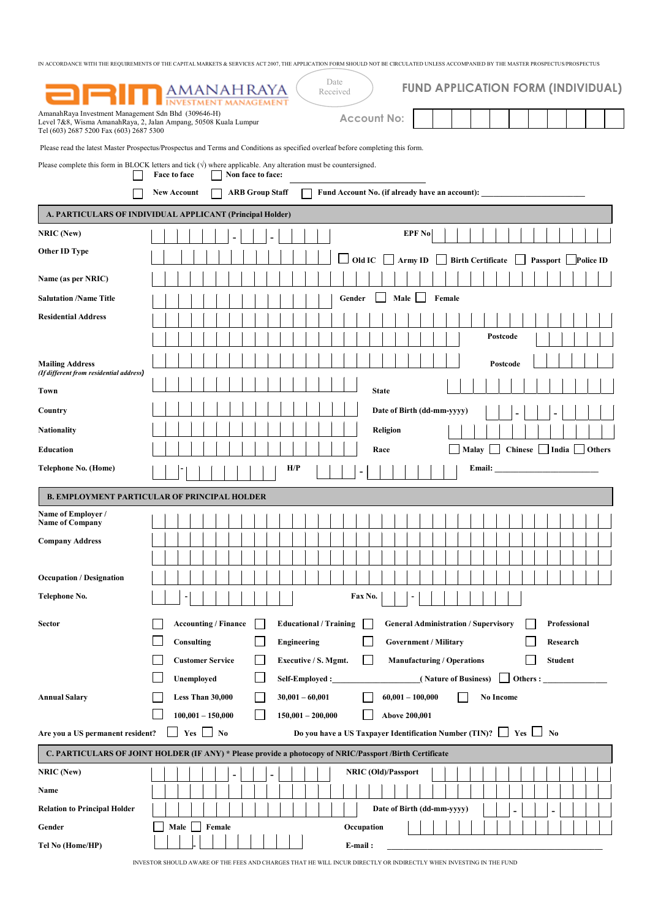| AmanahRaya Investment Management Sdn Bhd (309646-H)<br><b>Account No:</b><br>Level 7&8, Wisma AmanahRaya, 2, Jalan Ampang, 50508 Kuala Lumpur<br>Tel (603) 2687 5200 Fax (603) 2687 5300<br>Please read the latest Master Prospectus/Prospectus and Terms and Conditions as specified overleaf before completing this form.<br>Please complete this form in BLOCK letters and tick $(\forall)$ where applicable. Any alteration must be countersigned.<br>Non face to face:<br>Face to face<br><b>ARB Group Staff</b><br>Fund Account No. (if already have an account):<br><b>New Account</b><br>A. PARTICULARS OF INDIVIDUAL APPLICANT (Principal Holder)<br><b>NRIC</b> (New)<br>EPF No<br>Other ID Type<br>Old IC<br>Army ID $\Box$<br><b>Birth Certificate</b><br>Passport Police ID<br>Name (as per NRIC)<br>Male<br>Female<br><b>Salutation /Name Title</b><br>Gender<br><b>Residential Address</b><br>Postcode<br><b>Mailing Address</b><br>Postcode<br>(If different from residential address)<br><b>State</b><br>Town<br>Date of Birth (dd-mm-yyyy)<br>Country<br><b>Nationality</b><br>Religion<br>Chinese   India   Others<br><b>Education</b><br>Race<br>Malay<br>H/P<br>Telephone No. (Home)<br>Email:<br><b>B. EMPLOYMENT PARTICULAR OF PRINCIPAL HOLDER</b><br>Name of Employer /<br><b>Name of Company</b><br><b>Company Address</b><br><b>Occupation / Designation</b><br>Telephone No.<br>Fax No.<br><b>Accounting / Finance</b><br><b>Educational / Training</b><br><b>General Administration / Supervisory</b><br>Professional<br><b>Sector</b><br>Consulting<br><b>Government / Military</b><br>Engineering<br>Research<br><b>Customer Service</b><br><b>Manufacturing / Operations</b><br><b>Student</b><br>Executive / S. Mgmt.<br>Unemployed<br>(Nature of Business)<br>Others : $\qquad \qquad$<br>Self-Employed :<br>Less Than 30,000<br>$60,001 - 100,000$<br><b>Annual Salary</b><br>$30,001 - 60,001$<br>No Income<br>$100,001 - 150,000$<br>$150,001 - 200,000$<br>Above 200,001<br>$Yes \Box No$<br>Do you have a US Taxpayer Identification Number (TIN)? $\Box$ Yes $\Box$ No<br>Are you a US permanent resident?<br>C. PARTICULARS OF JOINT HOLDER (IF ANY) * Please provide a photocopy of NRIC/Passport/Birth Certificate<br>NRIC (New)<br>NRIC (Old)/Passport<br>$\blacksquare$<br>Name<br>Date of Birth (dd-mm-yyyy)<br><b>Relation to Principal Holder</b><br>۰<br>Female<br>Gender<br>Male<br>Occupation | Date<br><b>FUND APPLICATION FORM (INDIVIDUAL)</b><br><b>AMANAHRAYA</b><br>Received |
|--------------------------------------------------------------------------------------------------------------------------------------------------------------------------------------------------------------------------------------------------------------------------------------------------------------------------------------------------------------------------------------------------------------------------------------------------------------------------------------------------------------------------------------------------------------------------------------------------------------------------------------------------------------------------------------------------------------------------------------------------------------------------------------------------------------------------------------------------------------------------------------------------------------------------------------------------------------------------------------------------------------------------------------------------------------------------------------------------------------------------------------------------------------------------------------------------------------------------------------------------------------------------------------------------------------------------------------------------------------------------------------------------------------------------------------------------------------------------------------------------------------------------------------------------------------------------------------------------------------------------------------------------------------------------------------------------------------------------------------------------------------------------------------------------------------------------------------------------------------------------------------------------------------------------------------------------------------------------------------------------------------------------------------------------------------------------------------------------------------------------------------------------------------------------------------------------------------------------------------------------------------------------------------------------------------------------------------------------------------------------------------------------------------------------------------------------|------------------------------------------------------------------------------------|
|                                                                                                                                                                                                                                                                                                                                                                                                                                                                                                                                                                                                                                                                                                                                                                                                                                                                                                                                                                                                                                                                                                                                                                                                                                                                                                                                                                                                                                                                                                                                                                                                                                                                                                                                                                                                                                                                                                                                                                                                                                                                                                                                                                                                                                                                                                                                                                                                                                                  |                                                                                    |
|                                                                                                                                                                                                                                                                                                                                                                                                                                                                                                                                                                                                                                                                                                                                                                                                                                                                                                                                                                                                                                                                                                                                                                                                                                                                                                                                                                                                                                                                                                                                                                                                                                                                                                                                                                                                                                                                                                                                                                                                                                                                                                                                                                                                                                                                                                                                                                                                                                                  |                                                                                    |
|                                                                                                                                                                                                                                                                                                                                                                                                                                                                                                                                                                                                                                                                                                                                                                                                                                                                                                                                                                                                                                                                                                                                                                                                                                                                                                                                                                                                                                                                                                                                                                                                                                                                                                                                                                                                                                                                                                                                                                                                                                                                                                                                                                                                                                                                                                                                                                                                                                                  |                                                                                    |
|                                                                                                                                                                                                                                                                                                                                                                                                                                                                                                                                                                                                                                                                                                                                                                                                                                                                                                                                                                                                                                                                                                                                                                                                                                                                                                                                                                                                                                                                                                                                                                                                                                                                                                                                                                                                                                                                                                                                                                                                                                                                                                                                                                                                                                                                                                                                                                                                                                                  |                                                                                    |
|                                                                                                                                                                                                                                                                                                                                                                                                                                                                                                                                                                                                                                                                                                                                                                                                                                                                                                                                                                                                                                                                                                                                                                                                                                                                                                                                                                                                                                                                                                                                                                                                                                                                                                                                                                                                                                                                                                                                                                                                                                                                                                                                                                                                                                                                                                                                                                                                                                                  |                                                                                    |
|                                                                                                                                                                                                                                                                                                                                                                                                                                                                                                                                                                                                                                                                                                                                                                                                                                                                                                                                                                                                                                                                                                                                                                                                                                                                                                                                                                                                                                                                                                                                                                                                                                                                                                                                                                                                                                                                                                                                                                                                                                                                                                                                                                                                                                                                                                                                                                                                                                                  |                                                                                    |
|                                                                                                                                                                                                                                                                                                                                                                                                                                                                                                                                                                                                                                                                                                                                                                                                                                                                                                                                                                                                                                                                                                                                                                                                                                                                                                                                                                                                                                                                                                                                                                                                                                                                                                                                                                                                                                                                                                                                                                                                                                                                                                                                                                                                                                                                                                                                                                                                                                                  |                                                                                    |
|                                                                                                                                                                                                                                                                                                                                                                                                                                                                                                                                                                                                                                                                                                                                                                                                                                                                                                                                                                                                                                                                                                                                                                                                                                                                                                                                                                                                                                                                                                                                                                                                                                                                                                                                                                                                                                                                                                                                                                                                                                                                                                                                                                                                                                                                                                                                                                                                                                                  |                                                                                    |
|                                                                                                                                                                                                                                                                                                                                                                                                                                                                                                                                                                                                                                                                                                                                                                                                                                                                                                                                                                                                                                                                                                                                                                                                                                                                                                                                                                                                                                                                                                                                                                                                                                                                                                                                                                                                                                                                                                                                                                                                                                                                                                                                                                                                                                                                                                                                                                                                                                                  |                                                                                    |
|                                                                                                                                                                                                                                                                                                                                                                                                                                                                                                                                                                                                                                                                                                                                                                                                                                                                                                                                                                                                                                                                                                                                                                                                                                                                                                                                                                                                                                                                                                                                                                                                                                                                                                                                                                                                                                                                                                                                                                                                                                                                                                                                                                                                                                                                                                                                                                                                                                                  |                                                                                    |
|                                                                                                                                                                                                                                                                                                                                                                                                                                                                                                                                                                                                                                                                                                                                                                                                                                                                                                                                                                                                                                                                                                                                                                                                                                                                                                                                                                                                                                                                                                                                                                                                                                                                                                                                                                                                                                                                                                                                                                                                                                                                                                                                                                                                                                                                                                                                                                                                                                                  |                                                                                    |
|                                                                                                                                                                                                                                                                                                                                                                                                                                                                                                                                                                                                                                                                                                                                                                                                                                                                                                                                                                                                                                                                                                                                                                                                                                                                                                                                                                                                                                                                                                                                                                                                                                                                                                                                                                                                                                                                                                                                                                                                                                                                                                                                                                                                                                                                                                                                                                                                                                                  |                                                                                    |
|                                                                                                                                                                                                                                                                                                                                                                                                                                                                                                                                                                                                                                                                                                                                                                                                                                                                                                                                                                                                                                                                                                                                                                                                                                                                                                                                                                                                                                                                                                                                                                                                                                                                                                                                                                                                                                                                                                                                                                                                                                                                                                                                                                                                                                                                                                                                                                                                                                                  |                                                                                    |
|                                                                                                                                                                                                                                                                                                                                                                                                                                                                                                                                                                                                                                                                                                                                                                                                                                                                                                                                                                                                                                                                                                                                                                                                                                                                                                                                                                                                                                                                                                                                                                                                                                                                                                                                                                                                                                                                                                                                                                                                                                                                                                                                                                                                                                                                                                                                                                                                                                                  |                                                                                    |
|                                                                                                                                                                                                                                                                                                                                                                                                                                                                                                                                                                                                                                                                                                                                                                                                                                                                                                                                                                                                                                                                                                                                                                                                                                                                                                                                                                                                                                                                                                                                                                                                                                                                                                                                                                                                                                                                                                                                                                                                                                                                                                                                                                                                                                                                                                                                                                                                                                                  |                                                                                    |
|                                                                                                                                                                                                                                                                                                                                                                                                                                                                                                                                                                                                                                                                                                                                                                                                                                                                                                                                                                                                                                                                                                                                                                                                                                                                                                                                                                                                                                                                                                                                                                                                                                                                                                                                                                                                                                                                                                                                                                                                                                                                                                                                                                                                                                                                                                                                                                                                                                                  |                                                                                    |
|                                                                                                                                                                                                                                                                                                                                                                                                                                                                                                                                                                                                                                                                                                                                                                                                                                                                                                                                                                                                                                                                                                                                                                                                                                                                                                                                                                                                                                                                                                                                                                                                                                                                                                                                                                                                                                                                                                                                                                                                                                                                                                                                                                                                                                                                                                                                                                                                                                                  |                                                                                    |
|                                                                                                                                                                                                                                                                                                                                                                                                                                                                                                                                                                                                                                                                                                                                                                                                                                                                                                                                                                                                                                                                                                                                                                                                                                                                                                                                                                                                                                                                                                                                                                                                                                                                                                                                                                                                                                                                                                                                                                                                                                                                                                                                                                                                                                                                                                                                                                                                                                                  |                                                                                    |
|                                                                                                                                                                                                                                                                                                                                                                                                                                                                                                                                                                                                                                                                                                                                                                                                                                                                                                                                                                                                                                                                                                                                                                                                                                                                                                                                                                                                                                                                                                                                                                                                                                                                                                                                                                                                                                                                                                                                                                                                                                                                                                                                                                                                                                                                                                                                                                                                                                                  |                                                                                    |
|                                                                                                                                                                                                                                                                                                                                                                                                                                                                                                                                                                                                                                                                                                                                                                                                                                                                                                                                                                                                                                                                                                                                                                                                                                                                                                                                                                                                                                                                                                                                                                                                                                                                                                                                                                                                                                                                                                                                                                                                                                                                                                                                                                                                                                                                                                                                                                                                                                                  |                                                                                    |
|                                                                                                                                                                                                                                                                                                                                                                                                                                                                                                                                                                                                                                                                                                                                                                                                                                                                                                                                                                                                                                                                                                                                                                                                                                                                                                                                                                                                                                                                                                                                                                                                                                                                                                                                                                                                                                                                                                                                                                                                                                                                                                                                                                                                                                                                                                                                                                                                                                                  |                                                                                    |
|                                                                                                                                                                                                                                                                                                                                                                                                                                                                                                                                                                                                                                                                                                                                                                                                                                                                                                                                                                                                                                                                                                                                                                                                                                                                                                                                                                                                                                                                                                                                                                                                                                                                                                                                                                                                                                                                                                                                                                                                                                                                                                                                                                                                                                                                                                                                                                                                                                                  |                                                                                    |
|                                                                                                                                                                                                                                                                                                                                                                                                                                                                                                                                                                                                                                                                                                                                                                                                                                                                                                                                                                                                                                                                                                                                                                                                                                                                                                                                                                                                                                                                                                                                                                                                                                                                                                                                                                                                                                                                                                                                                                                                                                                                                                                                                                                                                                                                                                                                                                                                                                                  |                                                                                    |
|                                                                                                                                                                                                                                                                                                                                                                                                                                                                                                                                                                                                                                                                                                                                                                                                                                                                                                                                                                                                                                                                                                                                                                                                                                                                                                                                                                                                                                                                                                                                                                                                                                                                                                                                                                                                                                                                                                                                                                                                                                                                                                                                                                                                                                                                                                                                                                                                                                                  |                                                                                    |
|                                                                                                                                                                                                                                                                                                                                                                                                                                                                                                                                                                                                                                                                                                                                                                                                                                                                                                                                                                                                                                                                                                                                                                                                                                                                                                                                                                                                                                                                                                                                                                                                                                                                                                                                                                                                                                                                                                                                                                                                                                                                                                                                                                                                                                                                                                                                                                                                                                                  |                                                                                    |
|                                                                                                                                                                                                                                                                                                                                                                                                                                                                                                                                                                                                                                                                                                                                                                                                                                                                                                                                                                                                                                                                                                                                                                                                                                                                                                                                                                                                                                                                                                                                                                                                                                                                                                                                                                                                                                                                                                                                                                                                                                                                                                                                                                                                                                                                                                                                                                                                                                                  |                                                                                    |
|                                                                                                                                                                                                                                                                                                                                                                                                                                                                                                                                                                                                                                                                                                                                                                                                                                                                                                                                                                                                                                                                                                                                                                                                                                                                                                                                                                                                                                                                                                                                                                                                                                                                                                                                                                                                                                                                                                                                                                                                                                                                                                                                                                                                                                                                                                                                                                                                                                                  |                                                                                    |
|                                                                                                                                                                                                                                                                                                                                                                                                                                                                                                                                                                                                                                                                                                                                                                                                                                                                                                                                                                                                                                                                                                                                                                                                                                                                                                                                                                                                                                                                                                                                                                                                                                                                                                                                                                                                                                                                                                                                                                                                                                                                                                                                                                                                                                                                                                                                                                                                                                                  |                                                                                    |
|                                                                                                                                                                                                                                                                                                                                                                                                                                                                                                                                                                                                                                                                                                                                                                                                                                                                                                                                                                                                                                                                                                                                                                                                                                                                                                                                                                                                                                                                                                                                                                                                                                                                                                                                                                                                                                                                                                                                                                                                                                                                                                                                                                                                                                                                                                                                                                                                                                                  |                                                                                    |
|                                                                                                                                                                                                                                                                                                                                                                                                                                                                                                                                                                                                                                                                                                                                                                                                                                                                                                                                                                                                                                                                                                                                                                                                                                                                                                                                                                                                                                                                                                                                                                                                                                                                                                                                                                                                                                                                                                                                                                                                                                                                                                                                                                                                                                                                                                                                                                                                                                                  |                                                                                    |
|                                                                                                                                                                                                                                                                                                                                                                                                                                                                                                                                                                                                                                                                                                                                                                                                                                                                                                                                                                                                                                                                                                                                                                                                                                                                                                                                                                                                                                                                                                                                                                                                                                                                                                                                                                                                                                                                                                                                                                                                                                                                                                                                                                                                                                                                                                                                                                                                                                                  |                                                                                    |
|                                                                                                                                                                                                                                                                                                                                                                                                                                                                                                                                                                                                                                                                                                                                                                                                                                                                                                                                                                                                                                                                                                                                                                                                                                                                                                                                                                                                                                                                                                                                                                                                                                                                                                                                                                                                                                                                                                                                                                                                                                                                                                                                                                                                                                                                                                                                                                                                                                                  |                                                                                    |
|                                                                                                                                                                                                                                                                                                                                                                                                                                                                                                                                                                                                                                                                                                                                                                                                                                                                                                                                                                                                                                                                                                                                                                                                                                                                                                                                                                                                                                                                                                                                                                                                                                                                                                                                                                                                                                                                                                                                                                                                                                                                                                                                                                                                                                                                                                                                                                                                                                                  |                                                                                    |
|                                                                                                                                                                                                                                                                                                                                                                                                                                                                                                                                                                                                                                                                                                                                                                                                                                                                                                                                                                                                                                                                                                                                                                                                                                                                                                                                                                                                                                                                                                                                                                                                                                                                                                                                                                                                                                                                                                                                                                                                                                                                                                                                                                                                                                                                                                                                                                                                                                                  |                                                                                    |
|                                                                                                                                                                                                                                                                                                                                                                                                                                                                                                                                                                                                                                                                                                                                                                                                                                                                                                                                                                                                                                                                                                                                                                                                                                                                                                                                                                                                                                                                                                                                                                                                                                                                                                                                                                                                                                                                                                                                                                                                                                                                                                                                                                                                                                                                                                                                                                                                                                                  |                                                                                    |
|                                                                                                                                                                                                                                                                                                                                                                                                                                                                                                                                                                                                                                                                                                                                                                                                                                                                                                                                                                                                                                                                                                                                                                                                                                                                                                                                                                                                                                                                                                                                                                                                                                                                                                                                                                                                                                                                                                                                                                                                                                                                                                                                                                                                                                                                                                                                                                                                                                                  |                                                                                    |
| E-mail:<br>Tel No (Home/HP)                                                                                                                                                                                                                                                                                                                                                                                                                                                                                                                                                                                                                                                                                                                                                                                                                                                                                                                                                                                                                                                                                                                                                                                                                                                                                                                                                                                                                                                                                                                                                                                                                                                                                                                                                                                                                                                                                                                                                                                                                                                                                                                                                                                                                                                                                                                                                                                                                      |                                                                                    |

INVESTOR SHOULD AWARE OF THE FEES AND CHARGES THAT HE WILL INCUR DIRECTLY OR INDIRECTLY WHEN INVESTING IN THE FUND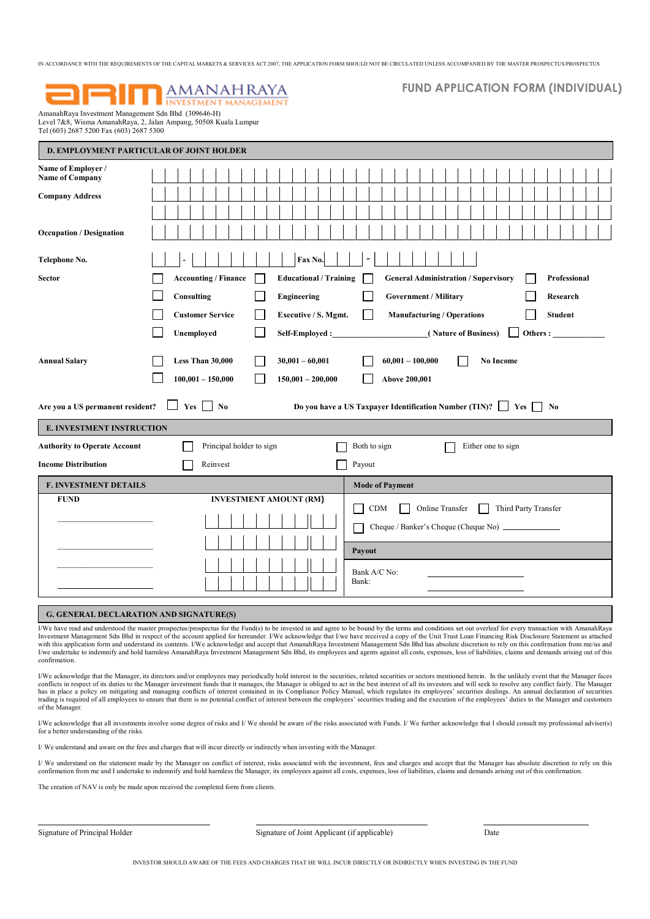# **AMANAHRAYA INVESTMENT MANAGEMENT**

# FUND APPLICATION FORM (INDIVIDUAL)

AmanahRaya Investment Management Sdn Bhd (309646-H) Level 7&8, Wisma AmanahRaya, 2, Jalan Ampang, 50508 Kuala Lumpur Tel (603) 2687 5200 Fax (603) 2687 5300

|                                              | <b>D. EMPLOYMENT PARTICULAR OF JOINT HOLDER</b>                                                                                                |
|----------------------------------------------|------------------------------------------------------------------------------------------------------------------------------------------------|
| Name of Employer /<br><b>Name of Company</b> |                                                                                                                                                |
| <b>Company Address</b>                       |                                                                                                                                                |
|                                              |                                                                                                                                                |
| <b>Occupation / Designation</b>              |                                                                                                                                                |
| Telephone No.                                | Fax No.<br>$\qquad \qquad \blacksquare$                                                                                                        |
| <b>Sector</b>                                | <b>Accounting / Finance</b><br><b>Educational / Training</b><br><b>General Administration / Supervisory</b><br>Professional                    |
|                                              | Consulting<br>Engineering<br><b>Government / Military</b><br>Research                                                                          |
|                                              | <b>Customer Service</b><br>Executive / S. Mgmt.<br><b>Manufacturing / Operations</b><br><b>Student</b>                                         |
|                                              | Unemployed<br>Self-Employed :<br>(Nature of Business)<br>Others : $\_$                                                                         |
| <b>Annual Salary</b>                         | Less Than 30,000<br>$30,001 - 60,001$<br>$60,001 - 100,000$<br>No Income<br>$100,001 - 150,000$<br>$150,001 - 200,000$<br><b>Above 200,001</b> |
| Are you a US permanent resident?             | Yes  <br>$\overline{\phantom{a}}$ No<br>Do you have a US Taxpayer Identification Number (TIN)?<br>Yes<br>No                                    |
| <b>E. INVESTMENT INSTRUCTION</b>             |                                                                                                                                                |
| <b>Authority to Operate Account</b>          | Principal holder to sign<br>Both to sign<br>Either one to sign                                                                                 |
| <b>Income Distribution</b>                   | Reinvest<br>Payout                                                                                                                             |
| <b>F. INVESTMENT DETAILS</b>                 | <b>Mode of Payment</b>                                                                                                                         |
| <b>FUND</b>                                  | <b>INVESTMENT AMOUNT (RM)</b><br>CDM<br>Online Transfer<br>Third Party Transfer                                                                |
|                                              |                                                                                                                                                |
|                                              |                                                                                                                                                |
|                                              | Payout                                                                                                                                         |
|                                              | Bank A/C No:<br>Bank:                                                                                                                          |
|                                              |                                                                                                                                                |

# G. GENERAL DECLARATION AND SIGNATURE(S)

 I/We have read and understood the master prospectus/prospectus for the Fund(s) to be invested in and agree to be bound by the terms and conditions set out overleaf for every transaction with AmanahRaya Investment Management Sdn Bhd in respect of the account applied for hereunder. I/We acknowledge that I/we have received a copy of the Unit Trust Loan Financing Risk Disclosure Statement as attached with this application form and understand its contents. I/We acknowledge and accept that AmanahRaya Investment Management Sdn Bhd has absolute discretion to rely on this confirmation from me/us and understand its confirmat I/we undertake to indemnify and hold harmless AmanahRaya Investment Management Sdn Bhd, its employees and agents against all costs, expenses, loss of liabilities, claims and demands arising out of this confirmation.

I/We acknowledge that the Manager, its directors and/or employees may periodically hold interest in the securities, related securities or sectors mentioned herein. In the unlikely event that the Manager faces conflicts in respect of its duties to the Manager investment funds that it manages, the Manager is obliged to act in the best interest of all its investors and will seek to resolve any conflict fairly. The Manager<br>has in p trading is required of all employees to ensure that there is no potential conflict of interest between the employees' securities trading and the execution of the employees' duties to the Manager and customers of the Manager.

I/We acknowledge that all investments involve some degree of risks and I/ We should be aware of the risks associated with Funds. I/ We further acknowledge that I should consult my professional adviser(s) for a better understanding of the risks.

I/ We understand and aware on the fees and charges that will incur directly or indirectly when investing with the Manager.

I/ We understand on the statement made by the Manager on conflict of interest, risks associated with the investment, fees and charges and accept that the Manager has absolute discretion to rely on this confirmation from me and I undertake to indemnify and hold harmless the Manager, its employees against all costs, expenses, loss of liabilities, claims and demands arising out of this confirmation.

The creation of NAV is only be made upon received the completed form from clients.

Signature of Principal Holder

Signature of Joint Applicant (if applicable) Date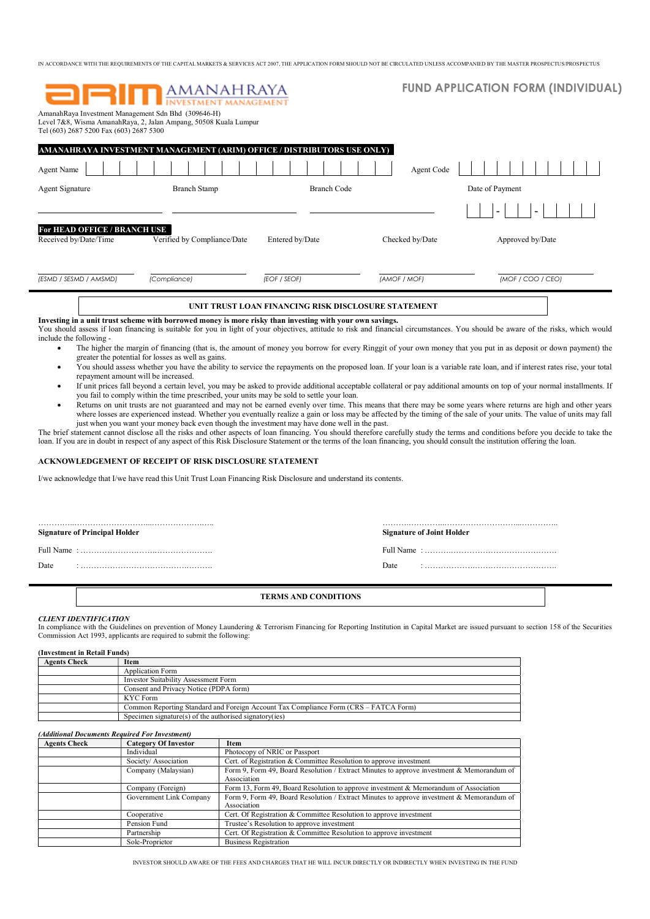| AmanahRaya Investment Management Sdn Bhd (309646-H)<br>Tel (603) 2687 5200 Fax (603) 2687 5300 | <b>ORITI AMANAHRAYA</b><br>Level 7&8, Wisma AmanahRaya, 2, Jalan Ampang, 50508 Kuala Lumpur |                                                     |                 | <b>FUND APPLICATION FORM (INDIVIDUAL)</b> |
|------------------------------------------------------------------------------------------------|---------------------------------------------------------------------------------------------|-----------------------------------------------------|-----------------|-------------------------------------------|
|                                                                                                | <b>AMANAHRAYA INVESTMENT MANAGEMENT (ARIM) OFFICE / DISTRIBUTORS USE ONLY)</b>              |                                                     |                 |                                           |
| <b>Agent Name</b>                                                                              |                                                                                             |                                                     | Agent Code      |                                           |
| <b>Agent Signature</b>                                                                         | <b>Branch Stamp</b>                                                                         | <b>Branch Code</b>                                  |                 | Date of Payment                           |
|                                                                                                |                                                                                             |                                                     |                 |                                           |
| For HEAD OFFICE / BRANCH USE<br>Received by/Date/Time                                          | Verified by Compliance/Date                                                                 | Entered by/Date                                     | Checked by/Date | Approved by/Date                          |
| (ESMD / SESMD / AMSMD)                                                                         | (Compliance)                                                                                | (EOF / SEOF)                                        | (AMOF / MOF)    | (MOF / COO / CEO)                         |
|                                                                                                |                                                                                             | UNIT TRUST LOAN FINANCING RISK DISCLOSURE STATEMENT |                 |                                           |

Investing in a unit trust scheme with borrowed money is more risky than investing with your own savings. You should assess if loan financing is suitable for you in light of your objectives, attitude to risk and financial circumstances. You should be aware of the risks, which would include the following -

- The higher the margin of financing (that is, the amount of money you borrow for every Ringgit of your own money that you put in as deposit or down payment) the greater the potential for losses as well as gains.
- You should assess whether you have the ability to service the repayments on the proposed loan. If your loan is a variable rate loan, and if interest rates rise, your total repayment amount will be increased.
- If unit prices fall beyond a certain level, you may be asked to provide additional acceptable collateral or pay additional amounts on top of your normal installments. If you fail to comply within the time prescribed, your units may be sold to settle your loan.
- Returns on unit trusts are not guaranteed and may not be earned evenly over time. This means that there may be some years where returns are high and other years where losses are experienced instead. Whether you eventually realize a gain or loss may be affected by the timing of the sale of your units. The value of units may fall just when you want your money back even though the investment may have done well in the past.

The brief statement cannot disclose all the risks and other aspects of loan financing. You should therefore carefully study the terms and conditions before you decide to take the loan. If you are in doubt in respect of any aspect of this Risk Disclosure Statement or the terms of the loan financing, you should consult the institution offering the loan.

# ACKNOWLEDGEMENT OF RECEIPT OF RISK DISCLOSURE STATEMENT

I/we acknowledge that I/we have read this Unit Trust Loan Financing Risk Disclosure and understand its contents.

# Signature of Principal Holder Signature of Joint Holder Signature of Joint Holder

Full Name : ……………………….…………………. Full Name : ……….………………………………….

Date : ………………………………….………. Date : ……………….………………………….

# TERMS AND CONDITIONS

…………..………………………...……………….….. ……….…………..………………………...…………..

## CLIENT IDENTIFICATION

In compliance with the Guidelines on prevention of Money Laundering & Terrorism Financing for Reporting Institution in Capital Market are issued pursuant to section 158 of the Securities Commission Act 1993, applicants are required to submit the following:

| (Investment in Retail Funds) |                                                                                      |  |
|------------------------------|--------------------------------------------------------------------------------------|--|
| <b>Agents Check</b>          | Item                                                                                 |  |
|                              | <b>Application Form</b>                                                              |  |
|                              | Investor Suitability Assessment Form                                                 |  |
|                              | Consent and Privacy Notice (PDPA form)                                               |  |
|                              | KYC Form                                                                             |  |
|                              | Common Reporting Standard and Foreign Account Tax Compliance Form (CRS – FATCA Form) |  |
|                              | Specimen signature(s) of the authorised signatory(ies)                               |  |

## (Additional Documents Required For Investment)

| <b>Agents Check</b> | <b>Category Of Investor</b> | Item                                                                                      |
|---------------------|-----------------------------|-------------------------------------------------------------------------------------------|
|                     | Individual                  | Photocopy of NRIC or Passport                                                             |
|                     | Society/ Association        | Cert. of Registration & Committee Resolution to approve investment                        |
|                     | Company (Malaysian)         | Form 9, Form 49, Board Resolution / Extract Minutes to approve investment & Memorandum of |
|                     |                             | Association                                                                               |
|                     | Company (Foreign)           | Form 13, Form 49, Board Resolution to approve investment & Memorandum of Association      |
|                     | Government Link Company     | Form 9, Form 49, Board Resolution / Extract Minutes to approve investment & Memorandum of |
|                     |                             | Association                                                                               |
|                     | Cooperative                 | Cert. Of Registration & Committee Resolution to approve investment                        |
|                     | Pension Fund                | Trustee's Resolution to approve investment                                                |
|                     | Partnership                 | Cert. Of Registration & Committee Resolution to approve investment                        |
|                     | Sole-Proprietor             | <b>Business Registration</b>                                                              |

INVESTOR SHOULD AWARE OF THE FEES AND CHARGES THAT HE WILL INCUR DIRECTLY OR INDIRECTLY WHEN INVESTING IN THE FUND